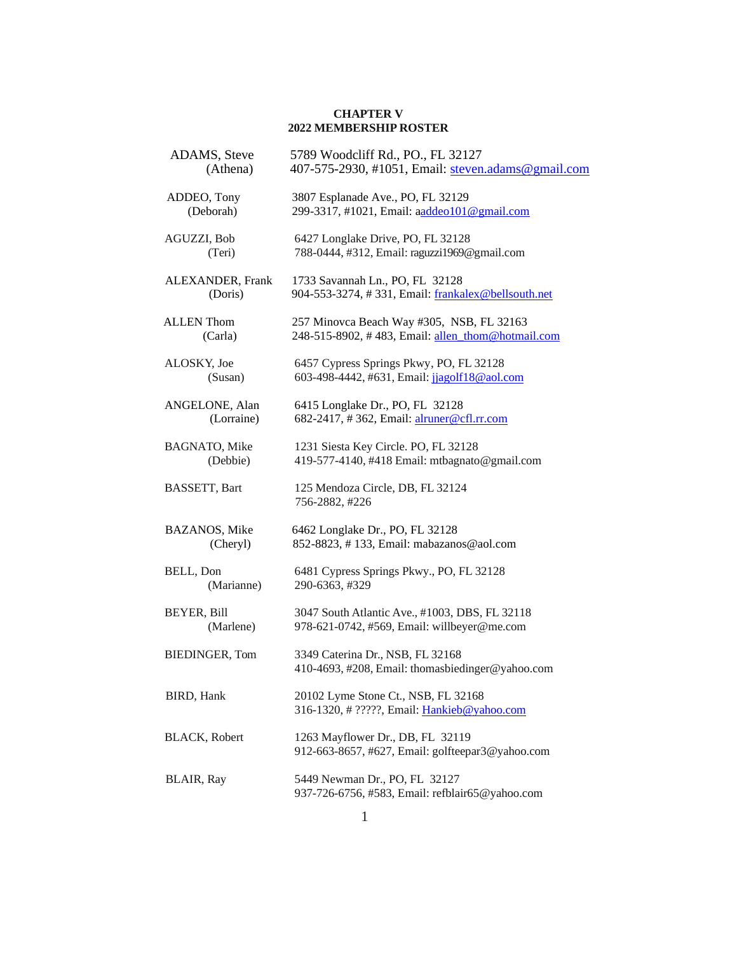## **CHAPTER V 2022 MEMBERSHIP ROSTER**

| ADAMS, Steve<br>(Athena)          | 5789 Woodcliff Rd., PO., FL 32127<br>407-575-2930, #1051, Email: steven.adams@gmail.com        |
|-----------------------------------|------------------------------------------------------------------------------------------------|
| ADDEO, Tony<br>(Deborah)          | 3807 Esplanade Ave., PO, FL 32129<br>299-3317, #1021, Email: aaddeo101@gmail.com               |
| AGUZZI, Bob<br>(Teri)             | 6427 Longlake Drive, PO, FL 32128<br>788-0444, #312, Email: raguzzi1969@gmail.com              |
| ALEXANDER, Frank<br>(Doris)       | 1733 Savannah Ln., PO, FL 32128<br>904-553-3274, #331, Email: frankalex@bellsouth.net          |
| <b>ALLEN</b> Thom<br>(Carla)      | 257 Minovca Beach Way #305, NSB, FL 32163<br>248-515-8902, #483, Email: allen_thom@hotmail.com |
| ALOSKY, Joe<br>(Susan)            | 6457 Cypress Springs Pkwy, PO, FL 32128<br>603-498-4442, #631, Email: jjagolf18@aol.com        |
| ANGELONE, Alan<br>(Lorraine)      | 6415 Longlake Dr., PO, FL 32128<br>682-2417, #362, Email: alruner@cfl.rr.com                   |
| BAGNATO, Mike<br>(Debbie)         | 1231 Siesta Key Circle. PO, FL 32128<br>419-577-4140, #418 Email: mtbagnato@gmail.com          |
| BASSETT, Bart                     | 125 Mendoza Circle, DB, FL 32124<br>756-2882, #226                                             |
| <b>BAZANOS</b> , Mike<br>(Cheryl) | 6462 Longlake Dr., PO, FL 32128<br>852-8823, #133, Email: mabazanos@aol.com                    |
| BELL, Don<br>(Marianne)           | 6481 Cypress Springs Pkwy., PO, FL 32128<br>290-6363, #329                                     |
| BEYER, Bill<br>(Marlene)          | 3047 South Atlantic Ave., #1003, DBS, FL 32118<br>978-621-0742, #569, Email: willbeyer@me.com  |
| <b>BIEDINGER, Tom</b>             | 3349 Caterina Dr., NSB, FL 32168<br>410-4693, #208, Email: thomasbiedinger@yahoo.com           |
| <b>BIRD</b> , Hank                | 20102 Lyme Stone Ct., NSB, FL 32168<br>316-1320, # ?????, Email: Hankieb@yahoo.com             |
| BLACK, Robert                     | 1263 Mayflower Dr., DB, FL 32119<br>912-663-8657, #627, Email: golfteepar3@yahoo.com           |
| <b>BLAIR</b> , Ray                | 5449 Newman Dr., PO, FL 32127<br>937-726-6756, #583, Email: refblair65@yahoo.com               |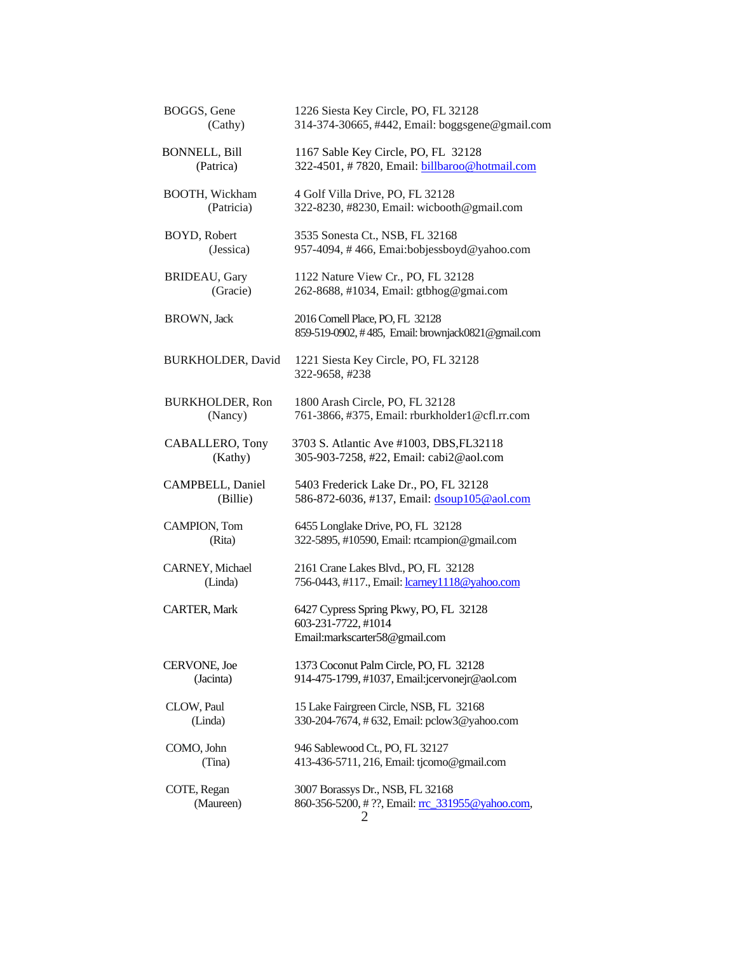| BOGGS, Gene<br>(Cathy)            |            | 1226 Siesta Key Circle, PO, FL 32128<br>314-374-30665, #442, Email: boggsgene@gmail.com        |
|-----------------------------------|------------|------------------------------------------------------------------------------------------------|
| <b>BONNELL, Bill</b><br>(Patrica) |            | 1167 Sable Key Circle, PO, FL 32128<br>322-4501, #7820, Email: billbaroo@hotmail.com           |
| BOOTH, Wickham                    | (Patricia) | 4 Golf Villa Drive, PO, FL 32128<br>322-8230, #8230, Email: wicbooth@gmail.com                 |
| BOYD, Robert<br>(Jessica)         |            | 3535 Sonesta Ct., NSB, FL 32168<br>957-4094, #466, Emai:bobjessboyd@yahoo.com                  |
| <b>BRIDEAU</b> , Gary             | (Gracie)   | 1122 Nature View Cr., PO, FL 32128<br>262-8688, #1034, Email: gtbhog@gmai.com                  |
| <b>BROWN</b> , Jack               |            | 2016 Cornell Place, PO, FL 32128<br>859-519-0902, #485, Email: brownjack0821@gmail.com         |
| BURKHOLDER, David                 |            | 1221 Siesta Key Circle, PO, FL 32128<br>322-9658, #238                                         |
| <b>BURKHOLDER, Ron</b><br>(Nancy) |            | 1800 Arash Circle, PO, FL 32128<br>761-3866, #375, Email: rburkholder1@cfl.rr.com              |
| CABALLERO, Tony                   | (Kathy)    | 3703 S. Atlantic Ave #1003, DBS, FL32118<br>305-903-7258, #22, Email: cabi2@aol.com            |
| CAMPBELL, Daniel                  | (Billie)   | 5403 Frederick Lake Dr., PO, FL 32128<br>586-872-6036, #137, Email: dsoup105@aol.com           |
| CAMPION, Tom<br>(Rita)            |            | 6455 Longlake Drive, PO, FL 32128<br>322-5895, #10590, Email: rtcampion@gmail.com              |
| CARNEY, Michael<br>(Linda)        |            | 2161 Crane Lakes Blvd., PO, FL 32128<br>756-0443, #117., Email: lcarney1118@yahoo.com          |
| <b>CARTER, Mark</b>               |            | 6427 Cypress Spring Pkwy, PO, FL 32128<br>603-231-7722, #1014<br>Email:markscarter58@gmail.com |
| CERVONE, Joe<br>(Jacinta)         |            | 1373 Coconut Palm Circle, PO, FL 32128<br>914-475-1799, #1037, Email:jcervonejr@aol.com        |
| CLOW, Paul<br>(Linda)             |            | 15 Lake Fairgreen Circle, NSB, FL 32168<br>330-204-7674, # 632, Email: pclow3@yahoo.com        |
| COMO, John<br>(Tina)              |            | 946 Sablewood Ct., PO, FL 32127<br>413-436-5711, 216, Email: tjcomo@gmail.com                  |
| COTE, Regan<br>(Maureen)          |            | 3007 Borassys Dr., NSB, FL 32168<br>860-356-5200, # ??, Email: rc 331955@yahoo.com,<br>2       |
|                                   |            |                                                                                                |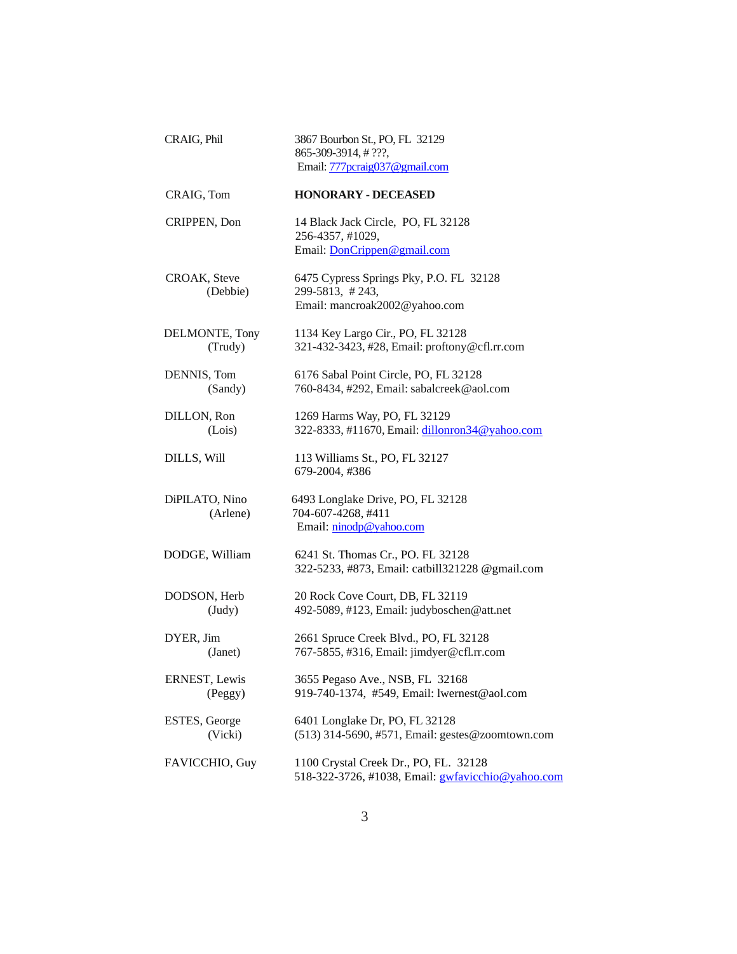| CRAIG, Phil                     | 3867 Bourbon St., PO, FL 32129<br>865-309-3914, #???,<br>Email: 777pcraig037@gmail.com            |
|---------------------------------|---------------------------------------------------------------------------------------------------|
| CRAIG, Tom                      | <b>HONORARY - DECEASED</b>                                                                        |
| CRIPPEN, Don                    | 14 Black Jack Circle, PO, FL 32128<br>256-4357, #1029,<br>Email: DonCrippen@gmail.com             |
| CROAK, Steve<br>(Debbie)        | 6475 Cypress Springs Pky, P.O. FL 32128<br>299-5813, #243,<br>Email: mancroak2002@yahoo.com       |
| DELMONTE, Tony<br>(Trudy)       | 1134 Key Largo Cir., PO, FL 32128<br>321-432-3423, #28, Email: proftony@cfl.rr.com                |
| DENNIS, Tom<br>(Sandy)          | 6176 Sabal Point Circle, PO, FL 32128<br>760-8434, #292, Email: sabalcreek@aol.com                |
| DILLON, Ron<br>(Lois)           | 1269 Harms Way, PO, FL 32129<br>322-8333, #11670, Email: dillonron34@yahoo.com                    |
| DILLS, Will                     | 113 Williams St., PO, FL 32127<br>679-2004, #386                                                  |
| DiPILATO, Nino<br>(Arlene)      | 6493 Longlake Drive, PO, FL 32128<br>704-607-4268, #411<br>Email: ninodp@yahoo.com                |
| DODGE, William                  | 6241 St. Thomas Cr., PO. FL 32128<br>322-5233, #873, Email: catbill321228 @gmail.com              |
| DODSON, Herb<br>$(\text{Judy})$ | 20 Rock Cove Court, DB, FL 32119<br>492-5089, #123, Email: judyboschen@att.net                    |
| DYER, Jim<br>(Janet)            | 2661 Spruce Creek Blvd., PO, FL 32128<br>767-5855, #316, Email: jimdyer@cfl.rr.com                |
| ERNEST, Lewis<br>(Peggy)        | 3655 Pegaso Ave., NSB, FL 32168<br>919-740-1374, #549, Email: lwernest@aol.com                    |
| ESTES, George<br>(Vicki)        | 6401 Longlake Dr, PO, FL 32128<br>(513) 314-5690, #571, Email: gestes@zoomtown.com                |
| FAVICCHIO, Guy                  | 1100 Crystal Creek Dr., PO, FL. 32128<br>518-322-3726, #1038, Email: <i>gwfavicchio@yahoo.com</i> |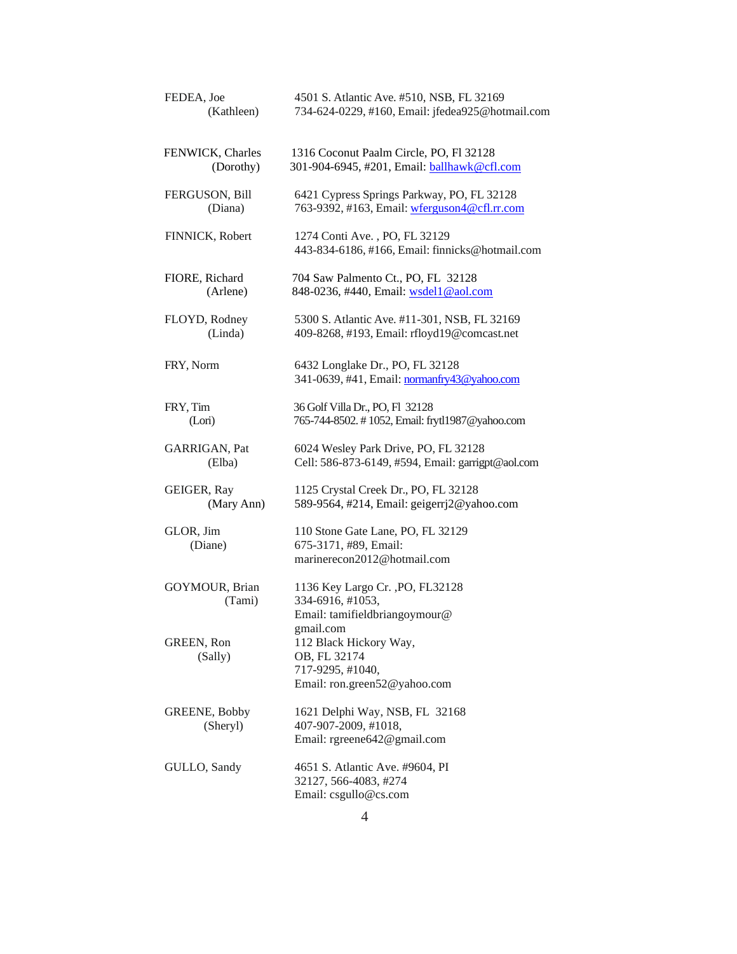| FEDEA, Joe                | 4501 S. Atlantic Ave. #510, NSB, FL 32169                                                               |
|---------------------------|---------------------------------------------------------------------------------------------------------|
| (Kathleen)                | 734-624-0229, #160, Email: jfedea925@hotmail.com                                                        |
| FENWICK, Charles          | 1316 Coconut Paalm Circle, PO, Fl 32128                                                                 |
| (Dorothy)                 | 301-904-6945, #201, Email: ballhawk@cfl.com                                                             |
| FERGUSON, Bill            | 6421 Cypress Springs Parkway, PO, FL 32128                                                              |
| (Diana)                   | 763-9392, #163, Email: wferguson4@cfl.rr.com                                                            |
| FINNICK, Robert           | 1274 Conti Ave., PO, FL 32129<br>443-834-6186, #166, Email: finnicks@hotmail.com                        |
| FIORE, Richard            | 704 Saw Palmento Ct., PO, FL 32128                                                                      |
| (Arlene)                  | 848-0236, #440, Email: wsdel1@aol.com                                                                   |
| FLOYD, Rodney             | 5300 S. Atlantic Ave. #11-301, NSB, FL 32169                                                            |
| (Linda)                   | 409-8268, #193, Email: rfloyd19@comcast.net                                                             |
| FRY, Norm                 | 6432 Longlake Dr., PO, FL 32128<br>341-0639, #41, Email: normanfry43@yahoo.com                          |
| FRY, Tim                  | 36 Golf Villa Dr., PO, Fl 32128                                                                         |
| (Lori)                    | 765-744-8502. #1052, Email: frytl1987@yahoo.com                                                         |
| GARRIGAN, Pat             | 6024 Wesley Park Drive, PO, FL 32128                                                                    |
| (Elba)                    | Cell: 586-873-6149, #594, Email: garrigpt@aol.com                                                       |
| GEIGER, Ray               | 1125 Crystal Creek Dr., PO, FL 32128                                                                    |
| (Mary Ann)                | 589-9564, #214, Email: geigerrj2@yahoo.com                                                              |
| GLOR, Jim<br>(Diane)      | 110 Stone Gate Lane, PO, FL 32129<br>675-3171, #89, Email:<br>marinerecon2012@hotmail.com               |
| GOYMOUR, Brian<br>(Tami)  | 1136 Key Largo Cr., PO, FL32128<br>334-6916, #1053,<br>Email: tamifieldbriangoymour@                    |
| GREEN, Ron<br>(Sally)     | gmail.com<br>112 Black Hickory Way,<br>OB, FL 32174<br>717-9295, #1040,<br>Email: ron.green52@yahoo.com |
| GREENE, Bobby<br>(Sheryl) | 1621 Delphi Way, NSB, FL 32168<br>407-907-2009, #1018,<br>Email: rgreene642@gmail.com                   |
| GULLO, Sandy              | 4651 S. Atlantic Ave. #9604, PI<br>32127, 566-4083, #274<br>Email: csgullo@cs.com                       |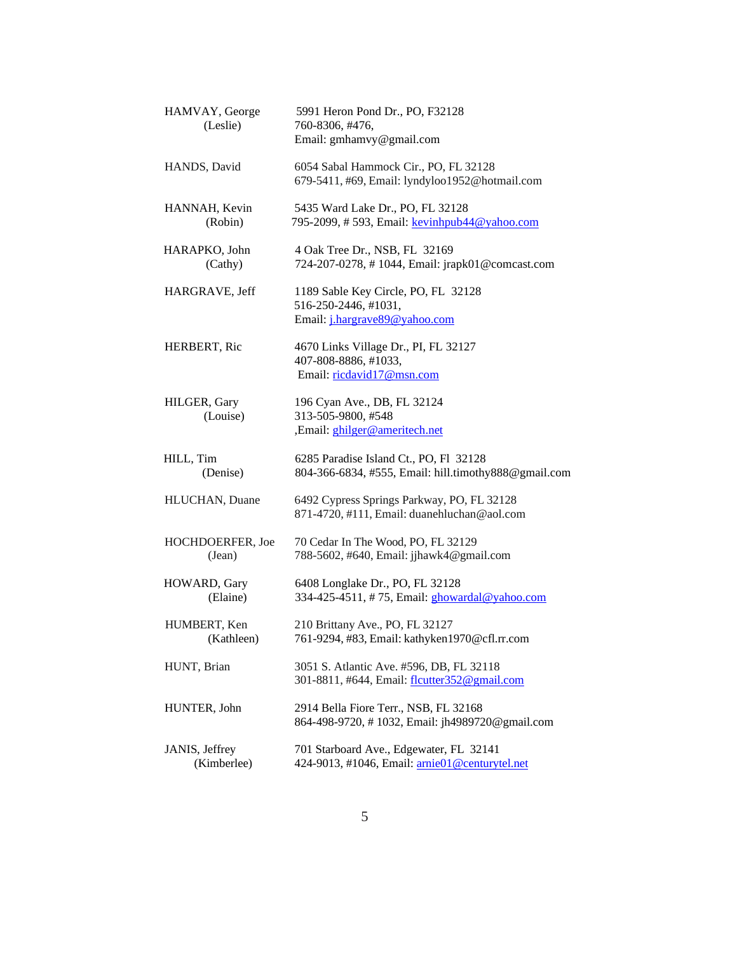| HAMVAY, George<br>(Leslie)    | 5991 Heron Pond Dr., PO, F32128<br>760-8306, #476,<br>Email: gmhamvy@gmail.com                      |
|-------------------------------|-----------------------------------------------------------------------------------------------------|
| HANDS, David                  | 6054 Sabal Hammock Cir., PO, FL 32128<br>679-5411, #69, Email: lyndyloo1952@hotmail.com             |
| HANNAH, Kevin<br>(Robin)      | 5435 Ward Lake Dr., PO, FL 32128<br>795-2099, # 593, Email: kevinhpub44@yahoo.com                   |
| HARAPKO, John<br>(Cathy)      | 4 Oak Tree Dr., NSB, FL 32169<br>724-207-0278, #1044, Email: jrapk01@comcast.com                    |
| HARGRAVE, Jeff                | 1189 Sable Key Circle, PO, FL 32128<br>516-250-2446, #1031,<br>Email: <i>j.hargrave89@yahoo.com</i> |
| HERBERT, Ric                  | 4670 Links Village Dr., PI, FL 32127<br>407-808-8886, #1033,<br>Email: ricdavid17@msn.com           |
| HILGER, Gary<br>(Louise)      | 196 Cyan Ave., DB, FL 32124<br>313-505-9800, #548<br>,Email: ghilger@ameritech.net                  |
| HILL, Tim<br>(Denise)         | 6285 Paradise Island Ct., PO, Fl 32128<br>804-366-6834, #555, Email: hill.timothy888@gmail.com      |
| HLUCHAN, Duane                | 6492 Cypress Springs Parkway, PO, FL 32128<br>871-4720, #111, Email: duanehluchan@aol.com           |
| HOCHDOERFER, Joe<br>(Jean)    | 70 Cedar In The Wood, PO, FL 32129<br>788-5602, #640, Email: jjhawk4@gmail.com                      |
| HOWARD, Gary<br>(Elaine)      | 6408 Longlake Dr., PO, FL 32128<br>334-425-4511, #75, Email: ghowardal@yahoo.com                    |
| HUMBERT, Ken<br>(Kathleen)    | 210 Brittany Ave., PO, FL 32127<br>761-9294, #83, Email: kathyken1970@cfl.rr.com                    |
| HUNT, Brian                   | 3051 S. Atlantic Ave. #596, DB, FL 32118<br>301-8811, #644, Email: flcutter352@gmail.com            |
| HUNTER, John                  | 2914 Bella Fiore Terr., NSB, FL 32168<br>864-498-9720, #1032, Email: jh4989720@gmail.com            |
| JANIS, Jeffrey<br>(Kimberlee) | 701 Starboard Ave., Edgewater, FL 32141<br>424-9013, #1046, Email: arnie01@centurytel.net           |
|                               |                                                                                                     |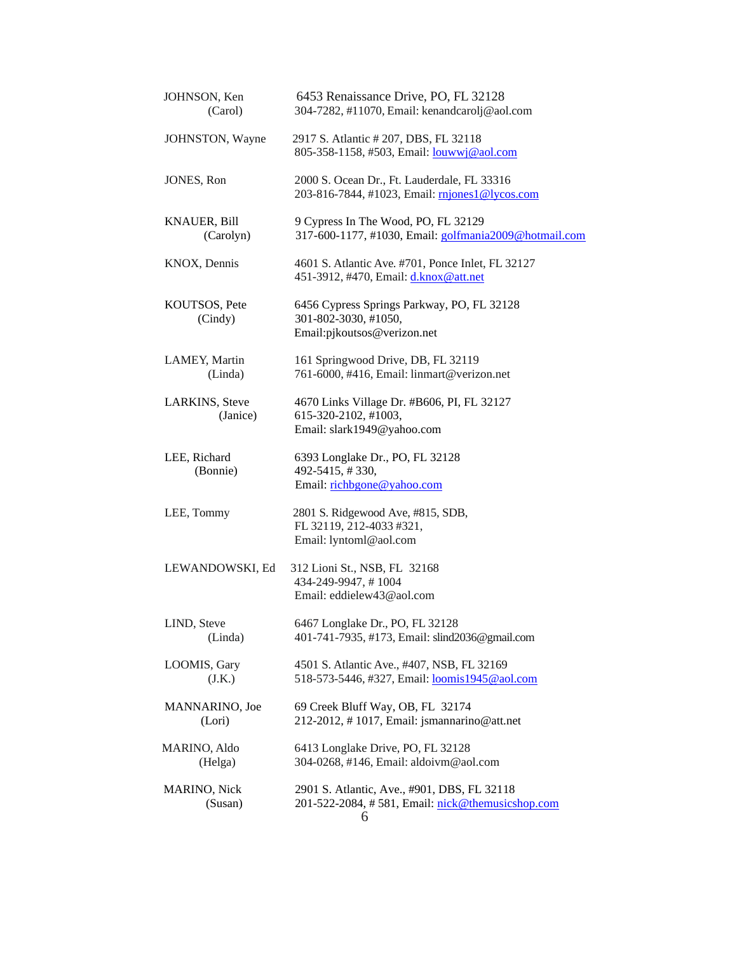| JOHNSON, Ken<br>(Carol)          | 6453 Renaissance Drive, PO, FL 32128<br>304-7282, #11070, Email: kenandcarolj@aol.com                |
|----------------------------------|------------------------------------------------------------------------------------------------------|
| JOHNSTON, Wayne                  | 2917 S. Atlantic # 207, DBS, FL 32118<br>805-358-1158, #503, Email: louwwj@aol.com                   |
| JONES, Ron                       | 2000 S. Ocean Dr., Ft. Lauderdale, FL 33316<br>203-816-7844, #1023, Email: mjones1@lycos.com         |
| <b>KNAUER, Bill</b><br>(Carolyn) | 9 Cypress In The Wood, PO, FL 32129<br>317-600-1177, #1030, Email: golfmania2009@hotmail.com         |
| KNOX, Dennis                     | 4601 S. Atlantic Ave. #701, Ponce Inlet, FL 32127<br>451-3912, #470, Email: <i>d.knox@att.net</i>    |
| KOUTSOS, Pete<br>(Cindy)         | 6456 Cypress Springs Parkway, PO, FL 32128<br>301-802-3030, #1050,<br>Email:pjkoutsos@verizon.net    |
| LAMEY, Martin<br>(Linda)         | 161 Springwood Drive, DB, FL 32119<br>761-6000, #416, Email: linmart@verizon.net                     |
| LARKINS, Steve<br>(Janice)       | 4670 Links Village Dr. #B606, PI, FL 32127<br>615-320-2102, #1003,<br>Email: slark1949@yahoo.com     |
| LEE, Richard<br>(Bonnie)         | 6393 Longlake Dr., PO, FL 32128<br>492-5415, #330,<br>Email: richbgone@yahoo.com                     |
| LEE, Tommy                       | 2801 S. Ridgewood Ave, #815, SDB,<br>FL 32119, 212-4033 #321,<br>Email: lyntoml@aol.com              |
| LEWANDOWSKI, Ed                  | 312 Lioni St., NSB, FL 32168<br>434-249-9947, #1004<br>Email: eddielew43@aol.com                     |
| LIND, Steve<br>(Linda)           | 6467 Longlake Dr., PO, FL 32128<br>401-741-7935, #173, Email: slind2036@gmail.com                    |
| LOOMIS, Gary<br>(J.K.)           | 4501 S. Atlantic Ave., #407, NSB, FL 32169<br>518-573-5446, #327, Email: <b>loomis1945@aol.com</b>   |
| MANNARINO, Joe<br>(Lori)         | 69 Creek Bluff Way, OB, FL 32174<br>212-2012, #1017, Email: jsmannarino@att.net                      |
| MARINO, Aldo<br>(Helga)          | 6413 Longlake Drive, PO, FL 32128<br>304-0268, #146, Email: aldoivm@aol.com                          |
| <b>MARINO, Nick</b><br>(Susan)   | 2901 S. Atlantic, Ave., #901, DBS, FL 32118<br>201-522-2084, #581, Email: nick@themusicshop.com<br>6 |
|                                  |                                                                                                      |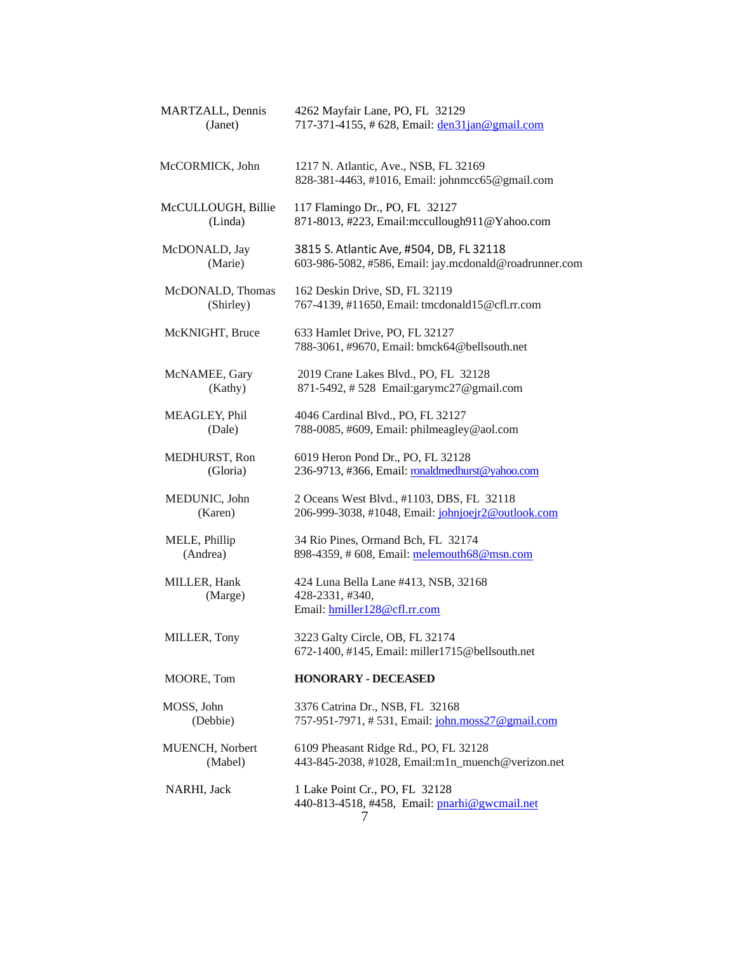| MARTZALL, Dennis<br>(Janet)   | 4262 Mayfair Lane, PO, FL 32129<br>717-371-4155, #628, Email: den31jan@gmail.com                   |
|-------------------------------|----------------------------------------------------------------------------------------------------|
| McCORMICK, John               | 1217 N. Atlantic, Ave., NSB, FL 32169<br>828-381-4463, #1016, Email: johnmcc65@gmail.com           |
| McCULLOUGH, Billie<br>(Linda) | 117 Flamingo Dr., PO, FL 32127<br>871-8013, #223, Email: mccullough 911@ Yahoo.com                 |
| McDONALD, Jay<br>(Marie)      | 3815 S. Atlantic Ave, #504, DB, FL 32118<br>603-986-5082, #586, Email: jay.mcdonald@roadrunner.com |
| McDONALD, Thomas<br>(Shirley) | 162 Deskin Drive, SD, FL 32119<br>767-4139, #11650, Email: tmcdonald15@cfl.rr.com                  |
| McKNIGHT, Bruce               | 633 Hamlet Drive, PO, FL 32127<br>788-3061, #9670, Email: bmck64@bellsouth.net                     |
| McNAMEE, Gary<br>(Kathy)      | 2019 Crane Lakes Blvd., PO, FL 32128<br>871-5492, #528 Email:garymc27@gmail.com                    |
| MEAGLEY, Phil<br>(Dale)       | 4046 Cardinal Blvd., PO, FL 32127<br>788-0085, #609, Email: philmeagley@aol.com                    |
| MEDHURST, Ron<br>(Gloria)     | 6019 Heron Pond Dr., PO, FL 32128<br>236-9713, #366, Email: ronaldmedhurst@yahoo.com               |
| MEDUNIC, John<br>(Karen)      | 2 Oceans West Blvd., #1103, DBS, FL 32118<br>206-999-3038, #1048, Email: johnjoejr2@outlook.com    |
| MELE, Phillip<br>(Andrea)     | 34 Rio Pines, Ormand Bch, FL 32174<br>898-4359, # 608, Email: melemouth68@msn.com                  |
| MILLER, Hank<br>(Marge)       | 424 Luna Bella Lane #413, NSB, 32168<br>428-2331, #340,<br>Email: hmiller128@cfl.rr.com            |
| MILLER, Tony                  | 3223 Galty Circle, OB, FL 32174<br>672-1400, #145, Email: miller1715@bellsouth.net                 |
| MOORE, Tom                    | <b>HONORARY - DECEASED</b>                                                                         |
| MOSS, John<br>(Debbie)        | 3376 Catrina Dr., NSB, FL 32168<br>757-951-7971, #531, Email: john.moss27@gmail.com                |
| MUENCH, Norbert<br>(Mabel)    | 6109 Pheasant Ridge Rd., PO, FL 32128<br>443-845-2038, #1028, Email:m1n_muench@verizon.net         |
| NARHI, Jack                   | 1 Lake Point Cr., PO, FL 32128<br>440-813-4518, #458, Email: pnarhi@gwcmail.net<br>$\frac{1}{2}$   |
|                               |                                                                                                    |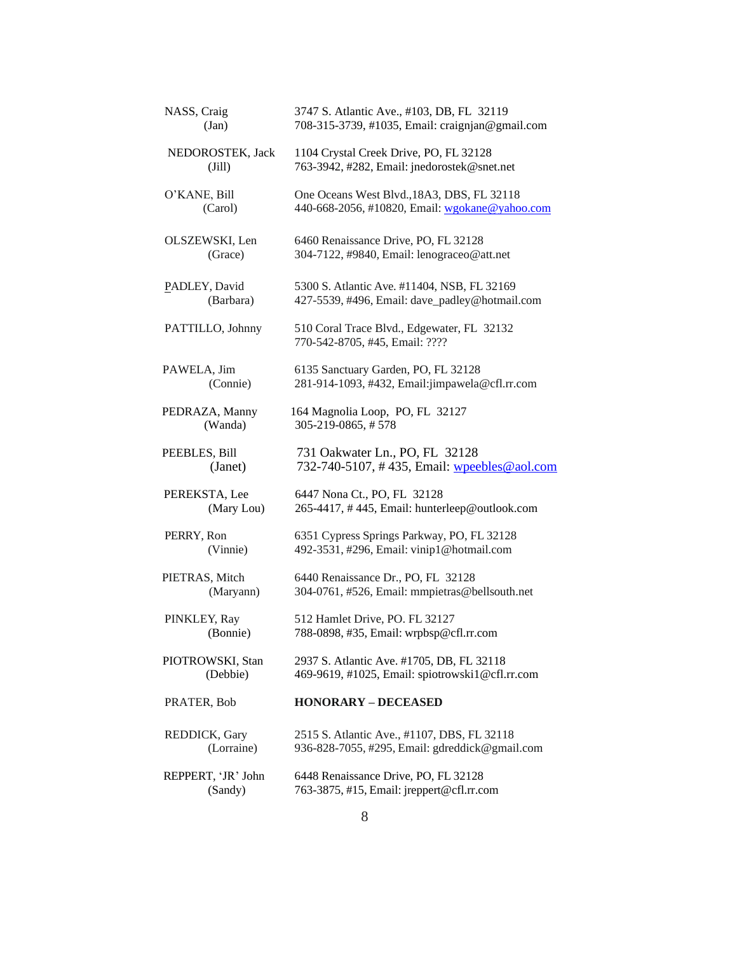| NASS, Craig        | 3747 S. Atlantic Ave., #103, DB, FL 32119                                    |
|--------------------|------------------------------------------------------------------------------|
| (Jan)              | 708-315-3739, #1035, Email: craignjan@gmail.com                              |
| NEDOROSTEK, Jack   | 1104 Crystal Creek Drive, PO, FL 32128                                       |
| $(\text{Jill})$    | 763-3942, #282, Email: jnedorostek@snet.net                                  |
| O'KANE, Bill       | One Oceans West Blvd., 18A3, DBS, FL 32118                                   |
| (Carol)            | 440-668-2056, #10820, Email: wgokane@yahoo.com                               |
| OLSZEWSKI, Len     | 6460 Renaissance Drive, PO, FL 32128                                         |
| (Grace)            | 304-7122, #9840, Email: lenograceo@att.net                                   |
| PADLEY, David      | 5300 S. Atlantic Ave. #11404, NSB, FL 32169                                  |
| (Barbara)          | 427-5539, #496, Email: dave_padley@hotmail.com                               |
| PATTILLO, Johnny   | 510 Coral Trace Blvd., Edgewater, FL 32132<br>770-542-8705, #45, Email: ???? |
| PAWELA, Jim        | 6135 Sanctuary Garden, PO, FL 32128                                          |
| (Connie)           | 281-914-1093, #432, Email:jimpawela@cfl.rr.com                               |
| PEDRAZA, Manny     | 164 Magnolia Loop, PO, FL 32127                                              |
| (Wanda)            | 305-219-0865, #578                                                           |
| PEEBLES, Bill      | 731 Oakwater Ln., PO, FL 32128                                               |
| (Janet)            | 732-740-5107, #435, Email: wpeebles@aol.com                                  |
| PEREKSTA, Lee      | 6447 Nona Ct., PO, FL 32128                                                  |
| (Mary Lou)         | 265-4417, #445, Email: hunterleep@outlook.com                                |
| PERRY, Ron         | 6351 Cypress Springs Parkway, PO, FL 32128                                   |
| (Vinnie)           | 492-3531, #296, Email: vinip1@hotmail.com                                    |
| PIETRAS, Mitch     | 6440 Renaissance Dr., PO, FL 32128                                           |
| (Maryann)          | 304-0761, #526, Email: mmpietras@bellsouth.net                               |
| PINKLEY, Ray       | 512 Hamlet Drive, PO. FL 32127                                               |
| (Bonnie)           | 788-0898, #35, Email: wrpbsp@cfl.rr.com                                      |
| PIOTROWSKI, Stan   | 2937 S. Atlantic Ave. #1705, DB, FL 32118                                    |
| (Debbie)           | 469-9619, #1025, Email: spiotrowski1@cfl.rr.com                              |
| PRATER, Bob        | <b>HONORARY - DECEASED</b>                                                   |
| REDDICK, Gary      | 2515 S. Atlantic Ave., #1107, DBS, FL 32118                                  |
| (Lorraine)         | 936-828-7055, #295, Email: gdreddick@gmail.com                               |
| REPPERT, 'JR' John | 6448 Renaissance Drive, PO, FL 32128                                         |
| (Sandy)            | 763-3875, #15, Email: jreppert@cfl.rr.com                                    |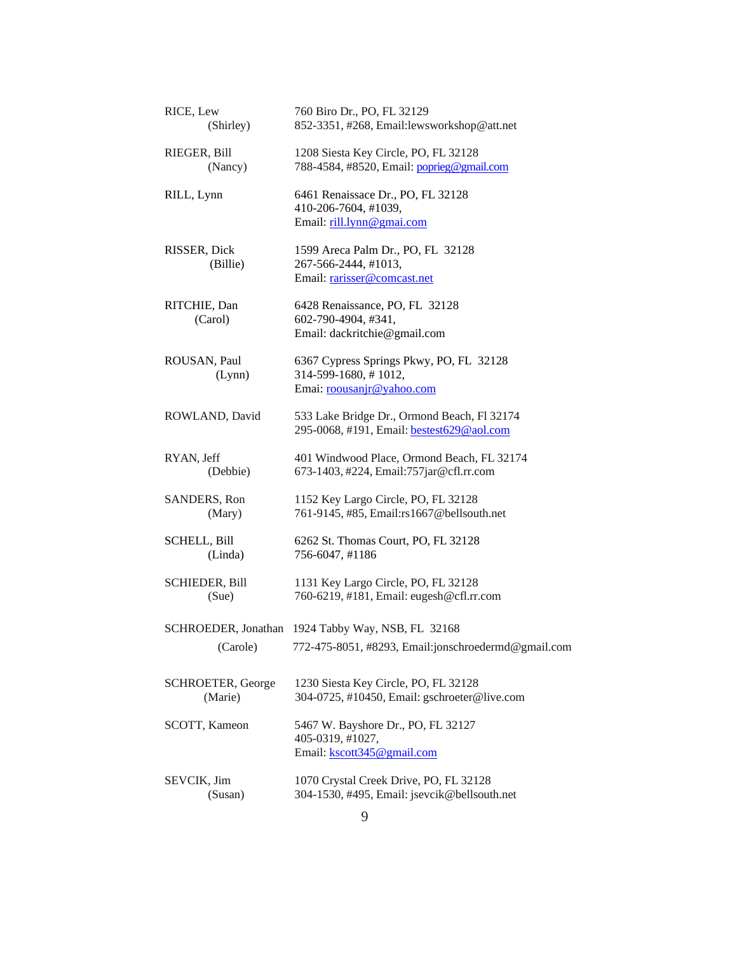| RICE, Lew                | 760 Biro Dr., PO, FL 32129                                                                                        |
|--------------------------|-------------------------------------------------------------------------------------------------------------------|
| (Shirley)                | 852-3351, #268, Email: lewsworkshop@att.net                                                                       |
| RIEGER, Bill             | 1208 Siesta Key Circle, PO, FL 32128                                                                              |
| (Nancy)                  | 788-4584, #8520, Email: poprieg@gmail.com                                                                         |
| RILL, Lynn               | 6461 Renaissace Dr., PO, FL 32128<br>410-206-7604, #1039,<br>Email: rill.lynn@gmai.com                            |
| RISSER, Dick<br>(Billie) | 1599 Areca Palm Dr., PO, FL 32128<br>267-566-2444, #1013,<br>Email: rarisser@comcast.net                          |
| RITCHIE, Dan<br>(Carol)  | 6428 Renaissance, PO, FL 32128<br>602-790-4904, #341,<br>Email: dackritchie@gmail.com                             |
| ROUSAN, Paul<br>(Lynn)   | 6367 Cypress Springs Pkwy, PO, FL 32128<br>314-599-1680, #1012,<br>Emai: roousanjr@yahoo.com                      |
| ROWLAND, David           | 533 Lake Bridge Dr., Ormond Beach, Fl 32174<br>295-0068, #191, Email: <b>bestest629@aol.com</b>                   |
| RYAN, Jeff               | 401 Windwood Place, Ormond Beach, FL 32174                                                                        |
| (Debbie)                 | 673-1403, #224, Email: 757jar@cfl.rr.com                                                                          |
| SANDERS, Ron             | 1152 Key Largo Circle, PO, FL 32128                                                                               |
| (Mary)                   | 761-9145, #85, Email:rs1667@bellsouth.net                                                                         |
| <b>SCHELL, Bill</b>      | 6262 St. Thomas Court, PO, FL 32128                                                                               |
| (Linda)                  | 756-6047, #1186                                                                                                   |
| <b>SCHIEDER, Bill</b>    | 1131 Key Largo Circle, PO, FL 32128                                                                               |
| (Sue)                    | 760-6219, #181, Email: eugesh@cfl.rr.com                                                                          |
|                          | SCHROEDER, Jonathan 1924 Tabby Way, NSB, FL 32168<br>(Carole) 772-475-8051, #8293, Email:jonschroedermd@gmail.com |
| SCHROETER, George        | 1230 Siesta Key Circle, PO, FL 32128                                                                              |
| (Marie)                  | 304-0725, #10450, Email: gschroeter@live.com                                                                      |
| SCOTT, Kameon            | 5467 W. Bayshore Dr., PO, FL 32127<br>405-0319, #1027,<br>Email: kscott345@gmail.com                              |
| SEVCIK, Jim              | 1070 Crystal Creek Drive, PO, FL 32128                                                                            |
| (Susan)                  | 304-1530, #495, Email: jsevcik@bellsouth.net                                                                      |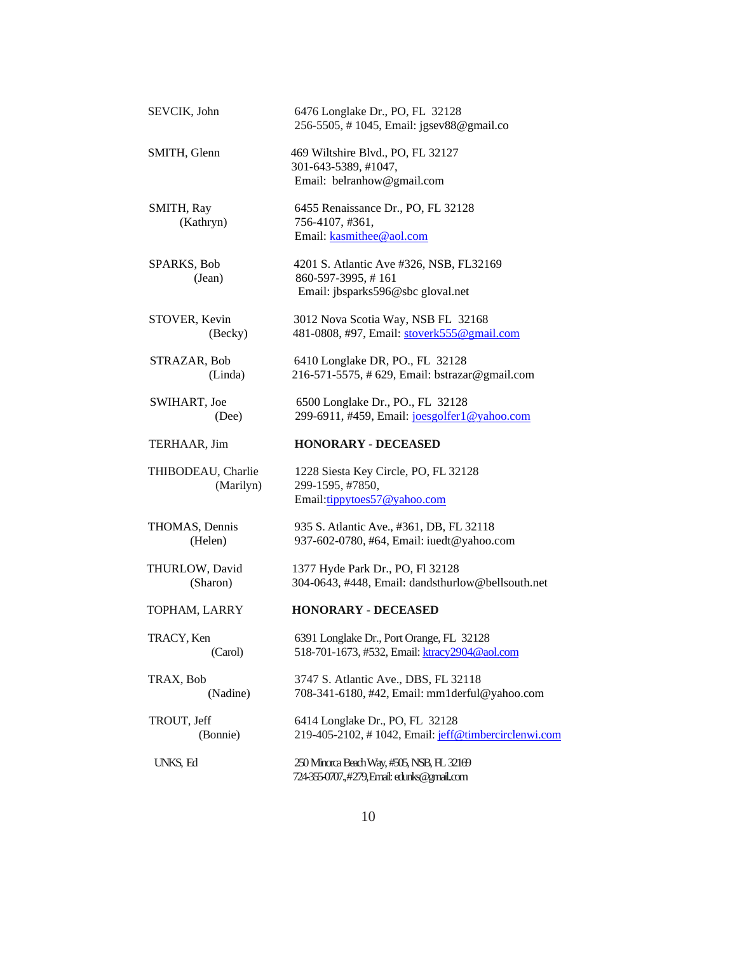| SEVCIK, John                    | 6476 Longlake Dr., PO, FL 32128<br>256-5505, #1045, Email: jgsev88@gmail.co                        |
|---------------------------------|----------------------------------------------------------------------------------------------------|
| SMITH, Glenn                    | 469 Wiltshire Blvd., PO, FL 32127<br>301-643-5389, #1047,<br>Email: belranhow@gmail.com            |
| SMITH, Ray<br>(Kathryn)         | 6455 Renaissance Dr., PO, FL 32128<br>756-4107, #361,<br>Email: kasmithee@aol.com                  |
| SPARKS, Bob<br>(Jean)           | 4201 S. Atlantic Ave #326, NSB, FL32169<br>860-597-3995, #161<br>Email: jbsparks596@sbc gloval.net |
| STOVER, Kevin<br>(Becky)        | 3012 Nova Scotia Way, NSB FL 32168<br>481-0808, #97, Email: stoverk555@gmail.com                   |
| STRAZAR, Bob<br>(Linda)         | 6410 Longlake DR, PO., FL 32128<br>216-571-5575, #629, Email: bstrazar@gmail.com                   |
| SWIHART, Joe<br>(Dee)           | 6500 Longlake Dr., PO., FL 32128<br>299-6911, #459, Email: joesgolfer1@yahoo.com                   |
| TERHAAR, Jim                    | <b>HONORARY - DECEASED</b>                                                                         |
| THIBODEAU, Charlie<br>(Marilyn) | 1228 Siesta Key Circle, PO, FL 32128<br>299-1595, #7850,<br>Email:tippytoes57@yahoo.com            |
| THOMAS, Dennis<br>(Helen)       | 935 S. Atlantic Ave., #361, DB, FL 32118<br>937-602-0780, #64, Email: iuedt@yahoo.com              |
| THURLOW, David<br>(Sharon)      | 1377 Hyde Park Dr., PO, Fl 32128<br>304-0643, #448, Email: dandsthurlow@bellsouth.net              |
| TOPHAM, LARRY                   | <b>HONORARY - DECEASED</b>                                                                         |
| TRACY, Ken<br>(Carol)           | 6391 Longlake Dr., Port Orange, FL 32128<br>518-701-1673, #532, Email: ktracy2904@aol.com          |
| TRAX, Bob<br>(Nadine)           | 3747 S. Atlantic Ave., DBS, FL 32118<br>708-341-6180, #42, Email: mm1derful@yahoo.com              |
| TROUT, Jeff<br>(Bonnie)         | 6414 Longlake Dr., PO, FL 32128<br>219-405-2102, #1042, Email: jeff@timbercirclenwi.com            |
| UNKS, Ed                        | 250 Minorca Beach Way, #505, NSB, FL 32169<br>724-355-0707.,#279, Email: edunks@gmail.com          |